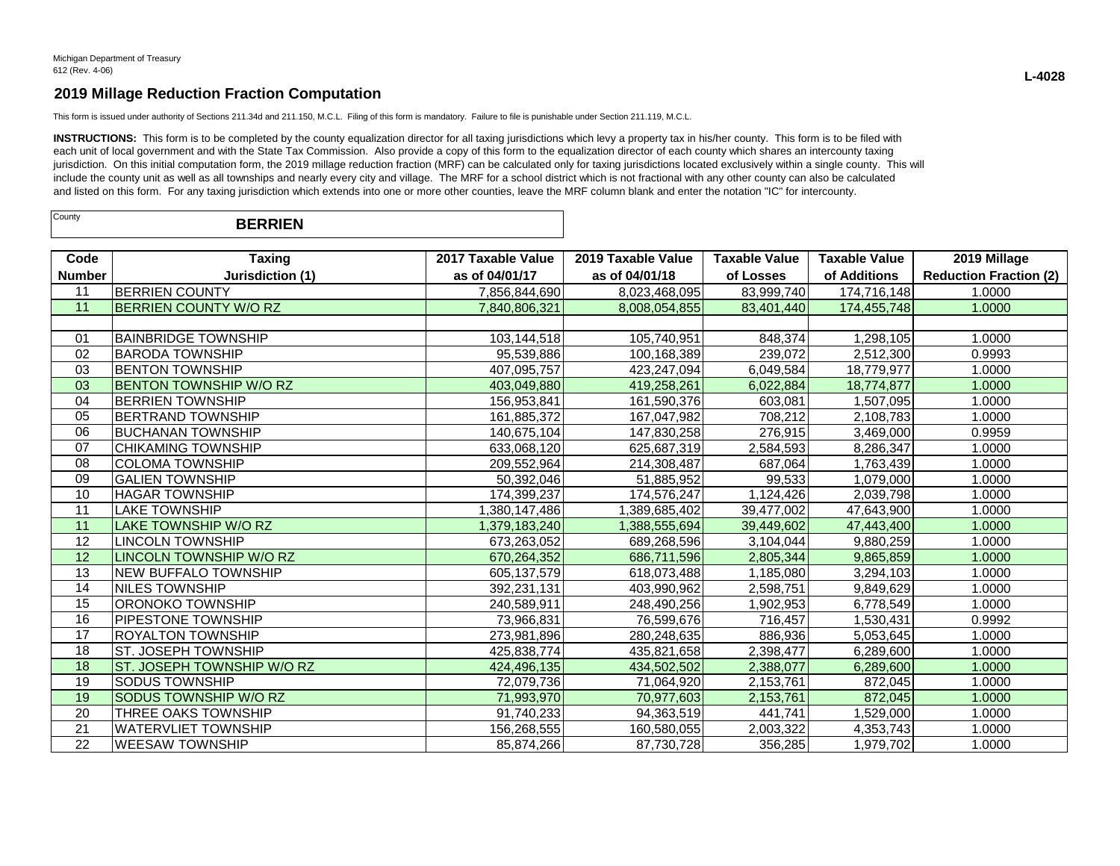This form is issued under authority of Sections 211.34d and 211.150, M.C.L. Filing of this form is mandatory. Failure to file is punishable under Section 211.119, M.C.L.

INSTRUCTIONS: This form is to be completed by the county equalization director for all taxing jurisdictions which levy a property tax in his/her county. This form is to be filed with each unit of local government and with the State Tax Commission. Also provide a copy of this form to the equalization director of each county which shares an intercounty taxing jurisdiction. On this initial computation form, the 2019 millage reduction fraction (MRF) can be calculated only for taxing jurisdictions located exclusively within a single county. This will include the county unit as well as all townships and nearly every city and village. The MRF for a school district which is not fractional with any other county can also be calculated and listed on this form. For any taxing jurisdiction which extends into one or more other counties, leave the MRF column blank and enter the notation "IC" for intercounty.

| County | <b>BERRIEN</b> |  |
|--------|----------------|--|
|--------|----------------|--|

| Code            | <b>Taxing</b>                  | 2017 Taxable Value | 2019 Taxable Value | <b>Taxable Value</b> | <b>Taxable Value</b> | 2019 Millage                  |
|-----------------|--------------------------------|--------------------|--------------------|----------------------|----------------------|-------------------------------|
| <b>Number</b>   | Jurisdiction (1)               | as of 04/01/17     | as of 04/01/18     | of Losses            | of Additions         | <b>Reduction Fraction (2)</b> |
| 11              | <b>BERRIEN COUNTY</b>          | 7,856,844,690      | 8,023,468,095      | 83,999,740           | 174,716,148          | 1.0000                        |
| $\overline{11}$ | <b>BERRIEN COUNTY W/O RZ</b>   | 7,840,806,321      | 8,008,054,855      | 83,401,440           | 174,455,748          | 1.0000                        |
|                 |                                |                    |                    |                      |                      |                               |
| 01              | <b>IBAINBRIDGE TOWNSHIP</b>    | 103,144,518        | 105,740,951        | 848,374              | 1,298,105            | 1.0000                        |
| 02              | <b>BARODA TOWNSHIP</b>         | 95,539,886         | 100,168,389        | 239,072              | 2,512,300            | 0.9993                        |
| 03              | <b>BENTON TOWNSHIP</b>         | 407,095,757        | 423,247,094        | 6,049,584            | 18,779,977           | 1.0000                        |
| 03              | <b>IBENTON TOWNSHIP W/O RZ</b> | 403,049,880        | 419,258,261        | 6,022,884            | 18,774,877           | 1.0000                        |
| 04              | <b>BERRIEN TOWNSHIP</b>        | 156,953,841        | 161,590,376        | 603,081              | 1,507,095            | 1.0000                        |
| 05              | <b>BERTRAND TOWNSHIP</b>       | 161,885,372        | 167.047.982        | 708,212              | 2,108,783            | 1.0000                        |
| 06              | IBUCHANAN TOWNSHIP             | 140,675,104        | 147,830,258        | 276,915              | 3,469,000            | 0.9959                        |
| 07              | <b>CHIKAMING TOWNSHIP</b>      | 633,068,120        | 625.687.319        | 2,584,593            | 8,286,347            | 1.0000                        |
| 08              | <b>COLOMA TOWNSHIP</b>         | 209,552,964        | 214,308,487        | 687,064              | 1,763,439            | 1.0000                        |
| 09              | <b>GALIEN TOWNSHIP</b>         | 50.392.046         | 51,885,952         | 99.533               | 1.079.000            | 1.0000                        |
| 10              | <b>HAGAR TOWNSHIP</b>          | 174,399,237        | 174,576,247        | 1,124,426            | 2,039,798            | 1.0000                        |
| 11              | <b>LAKE TOWNSHIP</b>           | 1,380,147,486      | 1,389,685,402      | 39,477,002           | 47,643,900           | 1.0000                        |
| 11              | LAKE TOWNSHIP W/O RZ           | 1,379,183,240      | 1,388,555,694      | 39,449,602           | 47,443,400           | 1.0000                        |
| 12              | <b>LINCOLN TOWNSHIP</b>        | 673,263,052        | 689,268,596        | 3,104,044            | 9,880,259            | 1.0000                        |
| 12              | <b>LINCOLN TOWNSHIP W/O RZ</b> | 670,264,352        | 686,711,596        | 2,805,344            | 9,865,859            | 1.0000                        |
| 13              | <b>NEW BUFFALO TOWNSHIP</b>    | 605, 137, 579      | 618,073,488        | 1,185,080            | 3,294,103            | 1.0000                        |
| 14              | <b>NILES TOWNSHIP</b>          | 392,231,131        | 403,990,962        | 2,598,751            | 9,849,629            | 1.0000                        |
| 15              | ORONOKO TOWNSHIP               | 240,589,911        | 248,490,256        | 1,902,953            | 6,778,549            | 1.0000                        |
| 16              | <b>PIPESTONE TOWNSHIP</b>      | 73,966,831         | 76,599,676         | 716,457              | 1,530,431            | 0.9992                        |
| 17              | IROYALTON TOWNSHIP             | 273,981,896        | 280,248,635        | 886,936              | 5,053,645            | 1.0000                        |
| 18              | ST. JOSEPH TOWNSHIP            | 425,838,774        | 435,821,658        | 2,398,477            | 6,289,600            | 1.0000                        |
| 18              | ST. JOSEPH TOWNSHIP W/O RZ     | 424,496,135        | 434,502,502        | 2,388,077            | 6,289,600            | 1.0000                        |
| 19              | <b>SODUS TOWNSHIP</b>          | 72,079,736         | 71,064,920         | 2,153,761            | 872.045              | 1.0000                        |
| 19              | <b>SODUS TOWNSHIP W/O RZ</b>   | 71,993,970         | 70,977,603         | 2,153,761            | 872,045              | 1.0000                        |
| 20              | THREE OAKS TOWNSHIP            | 91,740,233         | 94,363,519         | 441,741              | 1,529,000            | 1.0000                        |
| 21              | <b>WATERVLIET TOWNSHIP</b>     | 156,268,555        | 160,580,055        | 2,003,322            | 4,353,743            | 1.0000                        |
| 22              | <b>WEESAW TOWNSHIP</b>         | 85,874,266         | 87,730,728         | 356,285              | 1,979,702            | 1.0000                        |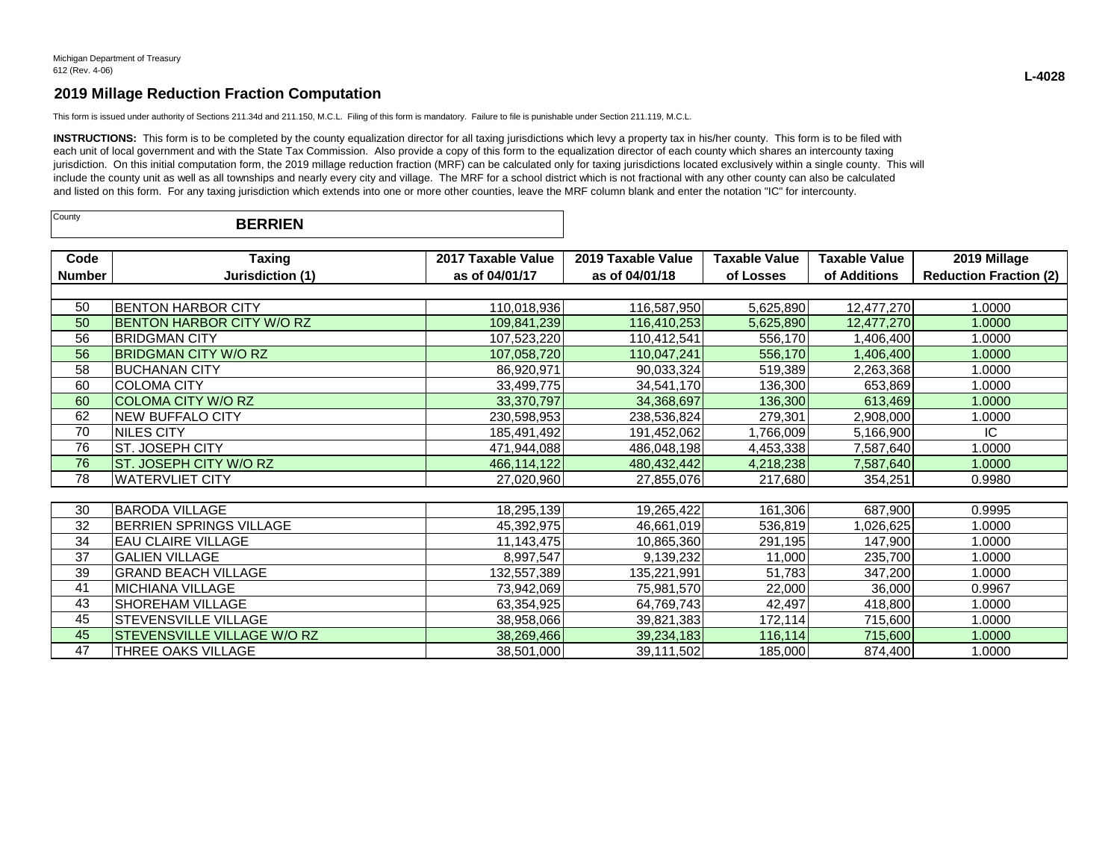This form is issued under authority of Sections 211.34d and 211.150, M.C.L. Filing of this form is mandatory. Failure to file is punishable under Section 211.119, M.C.L.

INSTRUCTIONS: This form is to be completed by the county equalization director for all taxing jurisdictions which levy a property tax in his/her county. This form is to be filed with each unit of local government and with the State Tax Commission. Also provide a copy of this form to the equalization director of each county which shares an intercounty taxing jurisdiction. On this initial computation form, the 2019 millage reduction fraction (MRF) can be calculated only for taxing jurisdictions located exclusively within a single county. This will include the county unit as well as all townships and nearly every city and village. The MRF for a school district which is not fractional with any other county can also be calculated and listed on this form. For any taxing jurisdiction which extends into one or more other counties, leave the MRF column blank and enter the notation "IC" for intercounty.

| County<br><b>BERRIEN</b> |  |  |
|--------------------------|--|--|
|--------------------------|--|--|

| Code          | <b>Taxing</b>                    | 2017 Taxable Value | 2019 Taxable Value | <b>Taxable Value</b> | Taxable Value | 2019 Millage                  |  |  |
|---------------|----------------------------------|--------------------|--------------------|----------------------|---------------|-------------------------------|--|--|
| <b>Number</b> | Jurisdiction (1)                 | as of 04/01/17     | as of 04/01/18     | of Losses            | of Additions  | <b>Reduction Fraction (2)</b> |  |  |
|               |                                  |                    |                    |                      |               |                               |  |  |
| 50            | <b>BENTON HARBOR CITY</b>        | 110,018,936        | 116,587,950        | 5,625,890            | 12,477,270    | 1.0000                        |  |  |
| 50            | <b>BENTON HARBOR CITY W/O RZ</b> | 109,841,239        | 116,410,253        | 5,625,890            | 12,477,270    | 1.0000                        |  |  |
| 56            | <b>BRIDGMAN CITY</b>             | 107,523,220        | 110,412,541        | 556,170              | 1,406,400     | 1.0000                        |  |  |
| 56            | <b>BRIDGMAN CITY W/O RZ</b>      | 107,058,720        | 110,047,241        | 556,170              | 1,406,400     | 1.0000                        |  |  |
| 58            | <b>BUCHANAN CITY</b>             | 86,920,971         | 90,033,324         | 519,389              | 2,263,368     | 1.0000                        |  |  |
| 60            | <b>COLOMA CITY</b>               | 33,499,775         | 34,541,170         | 136,300              | 653,869       | 1.0000                        |  |  |
| 60            | <b>COLOMA CITY W/O RZ</b>        | 33,370,797         | 34,368,697         | 136,300              | 613,469       | 1.0000                        |  |  |
| 62            | <b>NEW BUFFALO CITY</b>          | 230,598,953        | 238,536,824        | 279,301              | 2,908,000     | 1.0000                        |  |  |
| 70            | NILES CITY                       | 185,491,492        | 191,452,062        | 1,766,009            | 5,166,900     | IC                            |  |  |
| 76            | ST. JOSEPH CITY                  | 471,944,088        | 486,048,198        | 4,453,338            | 7,587,640     | 1.0000                        |  |  |
| 76            | ST. JOSEPH CITY W/O RZ           | 466,114,122        | 480,432,442        | 4,218,238            | 7,587,640     | 1.0000                        |  |  |
| 78            | <b>WATERVLIET CITY</b>           | 27,020,960         | 27,855,076         | 217,680              | 354,251       | 0.9980                        |  |  |
|               |                                  |                    |                    |                      |               |                               |  |  |
| 30            | <b>BARODA VILLAGE</b>            | 18,295,139         | 19,265,422         | 161,306              | 687,900       | 0.9995                        |  |  |
| 32            | BERRIEN SPRINGS VILLAGE          | 45,392,975         | 46,661,019         | 536,819              | 1,026,625     | 1.0000                        |  |  |
| 34            | <b>EAU CLAIRE VILLAGE</b>        | 11,143,475         | 10,865,360         | 291,195              | 147,900       | 1.0000                        |  |  |
| 37            | <b>GALIEN VILLAGE</b>            | 8,997,547          | 9,139,232          | 11,000               | 235,700       | 1.0000                        |  |  |
| 39            | <b>GRAND BEACH VILLAGE</b>       | 132,557,389        | 135,221,991        | 51,783               | 347,200       | 1.0000                        |  |  |
| 41            | <b>MICHIANA VILLAGE</b>          | 73,942,069         | 75,981,570         | 22,000               | 36,000        | 0.9967                        |  |  |
| 43            | SHOREHAM VILLAGE                 | 63,354,925         | 64,769,743         | 42,497               | 418,800       | 1.0000                        |  |  |
| 45            | STEVENSVILLE VILLAGE             | 38,958,066         | 39,821,383         | 172,114              | 715,600       | 1.0000                        |  |  |
| 45            | STEVENSVILLE VILLAGE W/O RZ      | 38,269,466         | 39,234,183         | 116,114              | 715,600       | 1.0000                        |  |  |
| 47            | THREE OAKS VILLAGE               | 38,501,000         | 39,111,502         | 185,000              | 874,400       | 1.0000                        |  |  |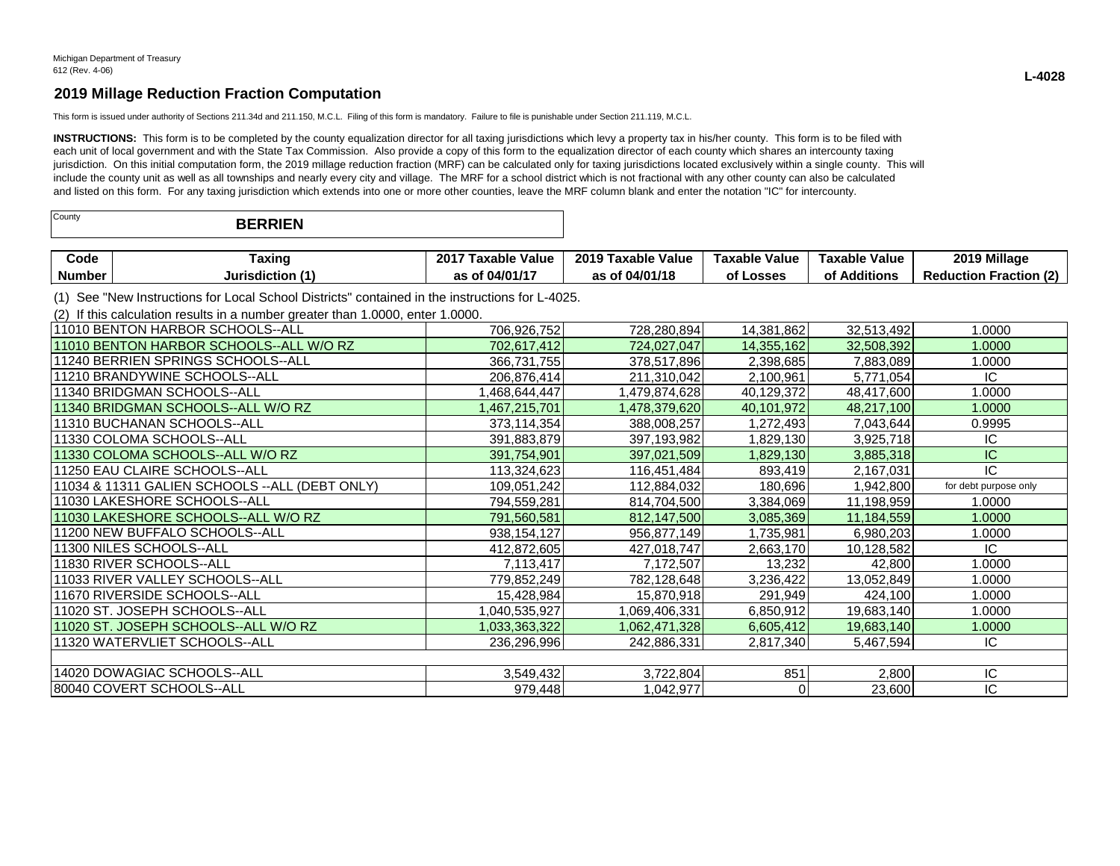This form is issued under authority of Sections 211.34d and 211.150, M.C.L. Filing of this form is mandatory. Failure to file is punishable under Section 211.119, M.C.L.

INSTRUCTIONS: This form is to be completed by the county equalization director for all taxing jurisdictions which levy a property tax in his/her county. This form is to be filed with each unit of local government and with the State Tax Commission. Also provide a copy of this form to the equalization director of each county which shares an intercounty taxing jurisdiction. On this initial computation form, the 2019 millage reduction fraction (MRF) can be calculated only for taxing jurisdictions located exclusively within a single county. This will include the county unit as well as all townships and nearly every city and village. The MRF for a school district which is not fractional with any other county can also be calculated and listed on this form. For any taxing jurisdiction which extends into one or more other counties, leave the MRF column blank and enter the notation "IC" for intercounty.

| County<br><b>BERRIEN</b> |  |
|--------------------------|--|
|--------------------------|--|

| Code   | raxinc       | 201<br>Value<br>i axable | 2019 "<br>Taxabi⁄<br>Value | Value<br>Taxable | Value<br><b>Taxable</b>                   | <b>Millage</b><br>2019                      |
|--------|--------------|--------------------------|----------------------------|------------------|-------------------------------------------|---------------------------------------------|
| Number | Jurisdiction | AIAI                     | 04/01/18<br>               | _osses           | $\mathbf{r}$ . The set<br>Additions<br>О1 | $\sim$<br>Ernetier<br>duction<br>Rea<br>auu |

(1) See "New Instructions for Local School Districts" contained in the instructions for L-4025.

(2) If this calculation results in a number greater than 1.0000, enter 1.0000.

| 111010 BENTON HARBOR SCHOOLS--ALL               | 706,926,752   | 728,280,894   | 14,381,862 | 32,513,492 | 1.0000                |
|-------------------------------------------------|---------------|---------------|------------|------------|-----------------------|
| 11010 BENTON HARBOR SCHOOLS--ALL W/O RZ         | 702,617,412   | 724,027,047   | 14,355,162 | 32,508,392 | 1.0000                |
| 11240 BERRIEN SPRINGS SCHOOLS--ALL              | 366,731,755   | 378,517,896   | 2,398,685  | 7,883,089  | 1.0000                |
| 11210 BRANDYWINE SCHOOLS--ALL                   | 206,876,414   | 211,310,042   | 2,100,961  | 5,771,054  | IC.                   |
| 11340 BRIDGMAN SCHOOLS--ALL                     | .468,644,447  | 1,479,874,628 | 40,129,372 | 48,417,600 | 1.0000                |
| 11340 BRIDGMAN SCHOOLS--ALL W/O RZ              | 1,467,215,701 | 1,478,379,620 | 40,101,972 | 48,217,100 | 1.0000                |
| 11310 BUCHANAN SCHOOLS--ALL                     | 373,114,354   | 388,008,257   | 1,272,493  | 7,043,644  | 0.9995                |
| l11330 COLOMA SCHOOLS--ALL                      | 391,883,879   | 397,193,982   | 1,829,130  | 3,925,718  | IC                    |
| 11330 COLOMA SCHOOLS--ALL W/O RZ                | 391,754,901   | 397,021,509   | 1,829,130  | 3,885,318  | IC.                   |
| 111250 EAU CLAIRE SCHOOLS--ALL                  | 113,324,623   | 116,451,484   | 893,419    | 2,167,031  | IC                    |
| 11034 & 11311 GALIEN SCHOOLS -- ALL (DEBT ONLY) | 109,051,242   | 112,884,032   | 180,696    | 1,942,800  | for debt purpose only |
| 11030 LAKESHORE SCHOOLS--ALL                    | 794,559,281   | 814,704,500   | 3,384,069  | 11,198,959 | 1.0000                |
| 11030 LAKESHORE SCHOOLS--ALL W/O RZ             | 791,560,581   | 812,147,500   | 3,085,369  | 11,184,559 | 1.0000                |
| 11200 NEW BUFFALO SCHOOLS--ALL                  | 938, 154, 127 | 956,877,149   | 1,735,981  | 6,980,203  | 1.0000                |
| 11300 NILES SCHOOLS--ALL                        | 412,872,605   | 427,018,747   | 2,663,170  | 10,128,582 | IC.                   |
| 11830 RIVER SCHOOLS--ALL                        | 7,113,417     | 7,172,507     | 13,232     | 42,800     | 1.0000                |
| 111033 RIVER VALLEY SCHOOLS--ALL                | 779,852,249   | 782,128,648   | 3,236,422  | 13,052,849 | 1.0000                |
| 11670 RIVERSIDE SCHOOLS--ALL                    | 15,428,984    | 15,870,918    | 291,949    | 424,100    | 1.0000                |
| 11020 ST. JOSEPH SCHOOLS--ALL                   | 1,040,535,927 | 1,069,406,331 | 6,850,912  | 19,683,140 | 1.0000                |
| 11020 ST. JOSEPH SCHOOLS--ALL W/O RZ            | 1,033,363,322 | 1,062,471,328 | 6,605,412  | 19,683,140 | 1.0000                |
| 11320 WATERVLIET SCHOOLS--ALL                   | 236,296,996   | 242,886,331   | 2,817,340  | 5,467,594  | IC                    |
|                                                 |               |               |            |            |                       |
| 14020 DOWAGIAC SCHOOLS--ALL                     | 3,549,432     | 3,722,804     | 851        | 2,800      | IC.                   |
| 80040 COVERT SCHOOLS--ALL                       | 979,448       | 1,042,977     |            | 23,600     | IC.                   |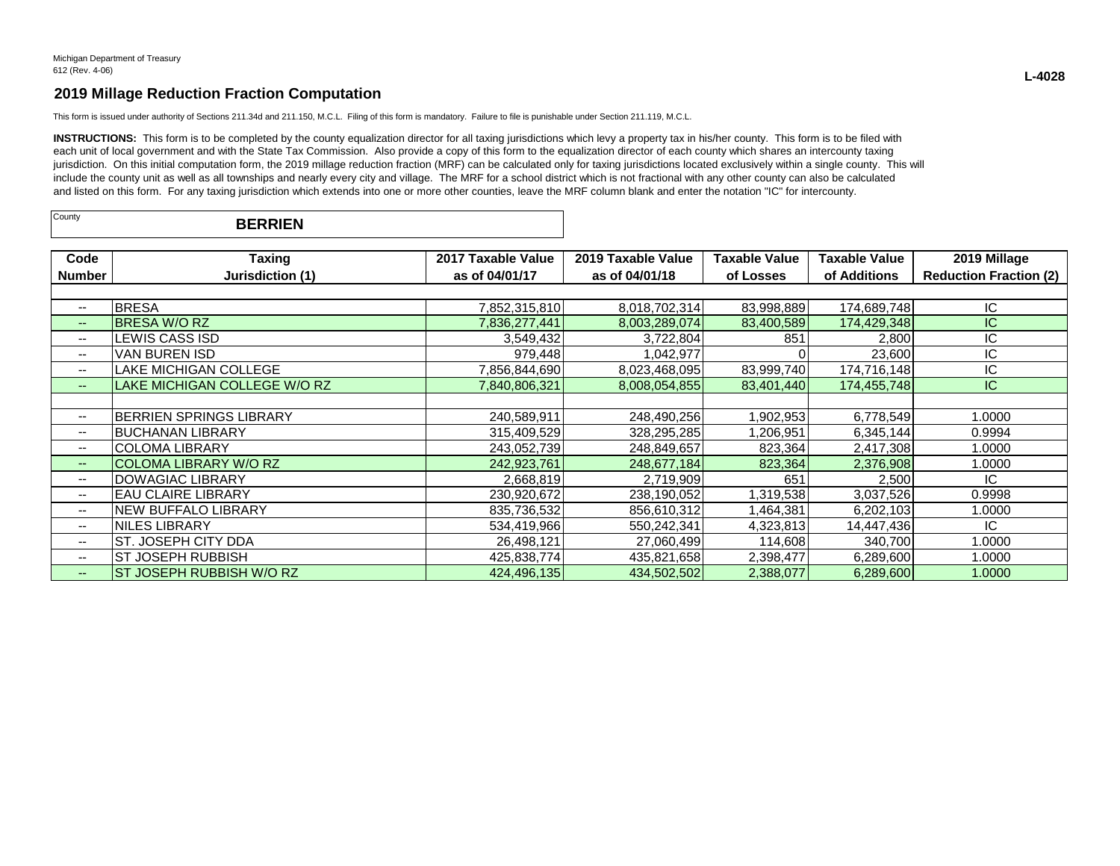This form is issued under authority of Sections 211.34d and 211.150, M.C.L. Filing of this form is mandatory. Failure to file is punishable under Section 211.119, M.C.L.

INSTRUCTIONS: This form is to be completed by the county equalization director for all taxing jurisdictions which levy a property tax in his/her county. This form is to be filed with each unit of local government and with the State Tax Commission. Also provide a copy of this form to the equalization director of each county which shares an intercounty taxing jurisdiction. On this initial computation form, the 2019 millage reduction fraction (MRF) can be calculated only for taxing jurisdictions located exclusively within a single county. This will include the county unit as well as all townships and nearly every city and village. The MRF for a school district which is not fractional with any other county can also be calculated and listed on this form. For any taxing jurisdiction which extends into one or more other counties, leave the MRF column blank and enter the notation "IC" for intercounty.

| County | <b>BERRIEN</b> |  |
|--------|----------------|--|
|--------|----------------|--|

| Code                     | Taxing                         | 2017 Taxable Value | 2019 Taxable Value | Taxable Value | Taxable Value | 2019 Millage                  |
|--------------------------|--------------------------------|--------------------|--------------------|---------------|---------------|-------------------------------|
| <b>Number</b>            | Jurisdiction (1)               | as of 04/01/17     | as of 04/01/18     | of Losses     | of Additions  | <b>Reduction Fraction (2)</b> |
|                          |                                |                    |                    |               |               |                               |
| --                       | <b>BRESA</b>                   | 7,852,315,810      | 8,018,702,314      | 83,998,889    | 174,689,748   | ΙC                            |
| $\overline{\phantom{a}}$ | <b>BRESA W/O RZ</b>            | 7,836,277,441      | 8,003,289,074      | 83,400,589    | 174,429,348   | IC.                           |
| --                       | EWIS CASS ISDL                 | 3,549,432          | 3,722,804          | 851           | 2,800         | IC                            |
| --                       | VAN BUREN ISD                  | 979,448            | 1,042,977          |               | 23,600        | ΙC                            |
| $-$                      | <b>LAKE MICHIGAN COLLEGE</b>   | 7,856,844,690      | 8,023,468,095      | 83,999,740    | 174,716,148   | IC                            |
| --                       | LAKE MICHIGAN COLLEGE W/O RZ   | 7,840,806,321      | 8,008,054,855      | 83,401,440    | 174,455,748   | IC.                           |
|                          |                                |                    |                    |               |               |                               |
| $\overline{\phantom{a}}$ | <b>BERRIEN SPRINGS LIBRARY</b> | 240,589,911        | 248,490,256        | ,902,953      | 6,778,549     | 1.0000                        |
| $\overline{\phantom{a}}$ | IBUCHANAN LIBRARY              | 315,409,529        | 328,295,285        | 1,206,951     | 6,345,144     | 0.9994                        |
| $\overline{\phantom{m}}$ | <b>COLOMA LIBRARY</b>          | 243,052,739        | 248,849,657        | 823,364       | 2,417,308     | 1.0000                        |
| $\overline{\phantom{a}}$ | COLOMA LIBRARY W/O RZ          | 242,923,761        | 248,677,184        | 823,364       | 2,376,908     | 1.0000                        |
| --                       | <b>DOWAGIAC LIBRARY</b>        | 2,668,819          | 2,719,909          | 651           | 2,500         | IC                            |
| --                       | IEAU CLAIRE LIBRARY            | 230,920,672        | 238,190,052        | 1,319,538     | 3,037,526     | 0.9998                        |
| $\overline{\phantom{a}}$ | INEW BUFFALO LIBRARY           | 835,736,532        | 856,610,312        | 1,464,381     | 6,202,103     | 1.0000                        |
| $\overline{\phantom{a}}$ | <b>NILES LIBRARY</b>           | 534,419,966        | 550,242,341        | 4,323,813     | 14,447,436    | IC.                           |
| $\overline{\phantom{a}}$ | IST. JOSEPH CITY DDA           | 26,498,121         | 27,060,499         | 114,608       | 340,700       | 1.0000                        |
| $\overline{\phantom{a}}$ | IST JOSEPH RUBBISH             | 425,838,774        | 435,821,658        | 2,398,477     | 6,289,600     | 1.0000                        |
| --                       | ST JOSEPH RUBBISH W/O RZ       | 424,496,135        | 434,502,502        | 2,388,077     | 6,289,600     | 1.0000                        |